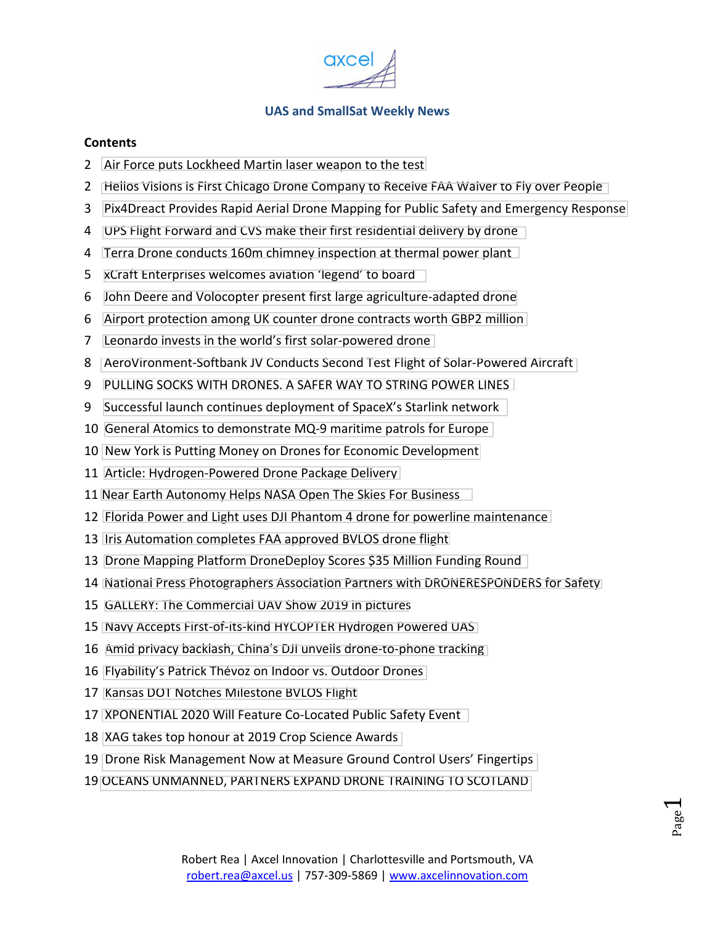

#### **Contents**

- [Air Force puts Lockheed Martin laser weapon to the test](#page-1-0)
- [Helios Visions is First Chicago Drone Company to Receive FAA Waiver to Fly over People](#page-1-0)
- [Pix4Dreact Provides Rapid Aerial Drone Mapping for Public Safety and Emergency Response](#page-2-0)
- [UPS Flight Forward and CVS make their first residential delivery by drone](#page-3-0)
- [Terra Drone conducts 160m chimney inspection at thermal power plant](#page-3-0)
- [xCraft Enterprises welcomes aviation 'legend' to board](#page-4-0)
- [John Deere and Volocopter present first large agriculture-adapted drone](#page-5-0)
- [Airport protection among UK counter drone contracts worth GBP2 million](#page-5-0)
- [Leonardo invests in the world's first solar-powered drone](#page-6-0)
- [AeroVironment-Softbank JV Conducts Second Test Flight of Solar-Powered Aircraft](#page-7-0)
- [PULLING SOCKS WITH DRONES. A SAFER WAY TO STRING POWER LINES](#page-8-0)
- [Successful launch continues deployment of SpaceX's Starlink network](#page-8-0)
- [General Atomics to demonstrate MQ-9 maritime patrols for Europe](#page-9-0)
- [New York is Putting Money on Drones for Economic Development](#page-9-0)
- [Article: Hydrogen-Powered Drone Package Delivery](#page-10-0)
- [Near Earth Autonomy Helps NASA Open The Skies For Business](#page-10-0)
- [Florida Power and Light uses DJI Phantom 4 drone for powerline maintenance](#page-11-0)
- [Iris Automation completes FAA approved BVLOS drone flight](#page-12-0)
- [Drone Mapping Platform DroneDeploy Scores \\$35 Million Funding Round](#page-12-0)
- [National Press Photographers Association Partners with DRONERESPONDERS for Safety](#page-13-0)
- [GALLERY: The Commercial UAV Show 2019 in pictures](#page-14-0)
- [Navy Accepts First-of-its-kind HYCOPTER Hydrogen Powered UAS](#page-14-0)
- [Amid privacy backlash, China's DJI unveils drone-to-phone tracking](#page-15-0)
- [Flyability's Patrick Thévoz on Indoor vs. Outdoor Drones](#page-15-0)
- [Kansas DOT Notches Milestone BVLOS Flight](#page-16-0)
- [XPONENTIAL 2020 Will Feature Co-Located Public Safety Event](#page-16-0)
- [XAG takes top honour at 2019 Crop Science Awards](#page-17-0)
- [Drone Risk Management Now at Measure Ground Control Users' Fingertips](#page-18-0)
- [OCEANS UNMANNED, PARTNERS EXPAND DRONE TRAINING TO SCOTLAND](#page-18-0)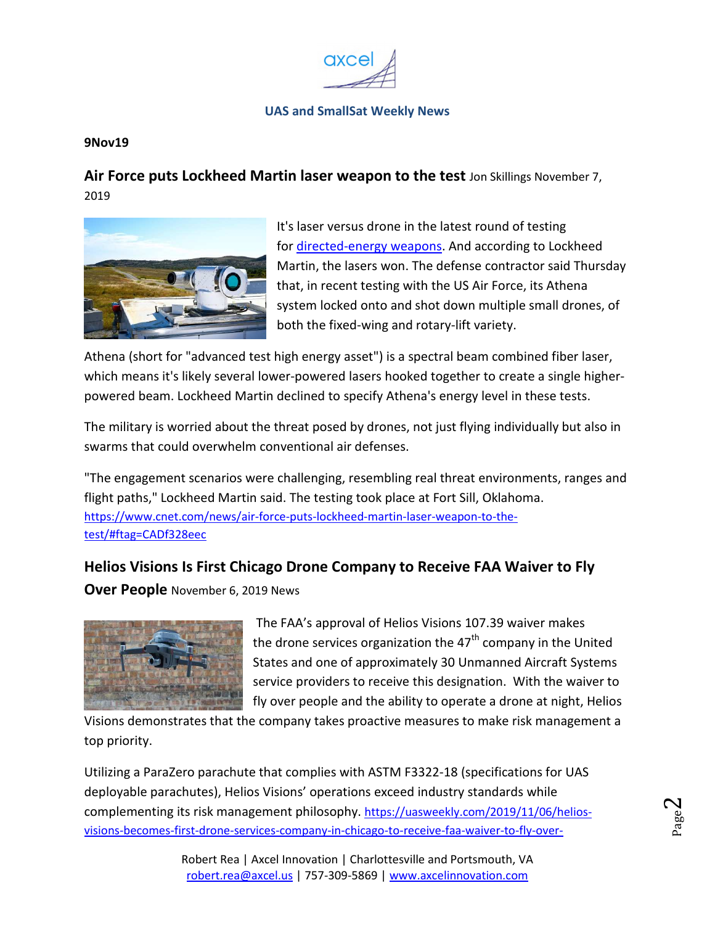

#### <span id="page-1-0"></span>**9Nov19**

**Air Force puts Lockheed Martin laser weapon to the test** Jon Skillings November 7, 2019



It's laser versus drone in the latest round of testing for directed-energy weapons. And according to Lockheed Martin, the lasers won. The defense contractor said Thursday that, in recent testing with the US Air Force, its Athena system locked onto and shot down multiple small drones, of both the fixed-wing and rotary-lift variety.

Athena (short for "advanced test high energy asset") is a spectral beam combined fiber laser, which means it's likely several lower-powered lasers hooked together to create a single higherpowered beam. Lockheed Martin declined to specify Athena's energy level in these tests.

The military is worried about the threat posed by drones, not just flying individually but also in swarms that could overwhelm conventional air defenses.

"The engagement scenarios were challenging, resembling real threat environments, ranges and flight paths," Lockheed Martin said. The testing took place at Fort Sill, Oklahoma. https://www.cnet.com/news/air-force-puts-lockheed-martin-laser-weapon-to-thetest/#ftag=CADf328eec

## **Helios Visions Is First Chicago Drone Company to Receive FAA Waiver to Fly**

**Over People** November 6, 2019 News



 The FAA's approval of Helios Visions 107.39 waiver makes the drone services organization the  $47<sup>th</sup>$  company in the United States and one of approximately 30 Unmanned Aircraft Systems service providers to receive this designation. With the waiver to fly over people and the ability to operate a drone at night, Helios

Visions demonstrates that the company takes proactive measures to make risk management a top priority.

Utilizing a ParaZero parachute that complies with ASTM F3322-18 (specifications for UAS deployable parachutes), Helios Visions' operations exceed industry standards while complementing its risk management philosophy. https://uasweekly.com/2019/11/06/heliosvisions-becomes-first-drone-services-company-in-chicago-to-receive-faa-waiver-to-fly-over-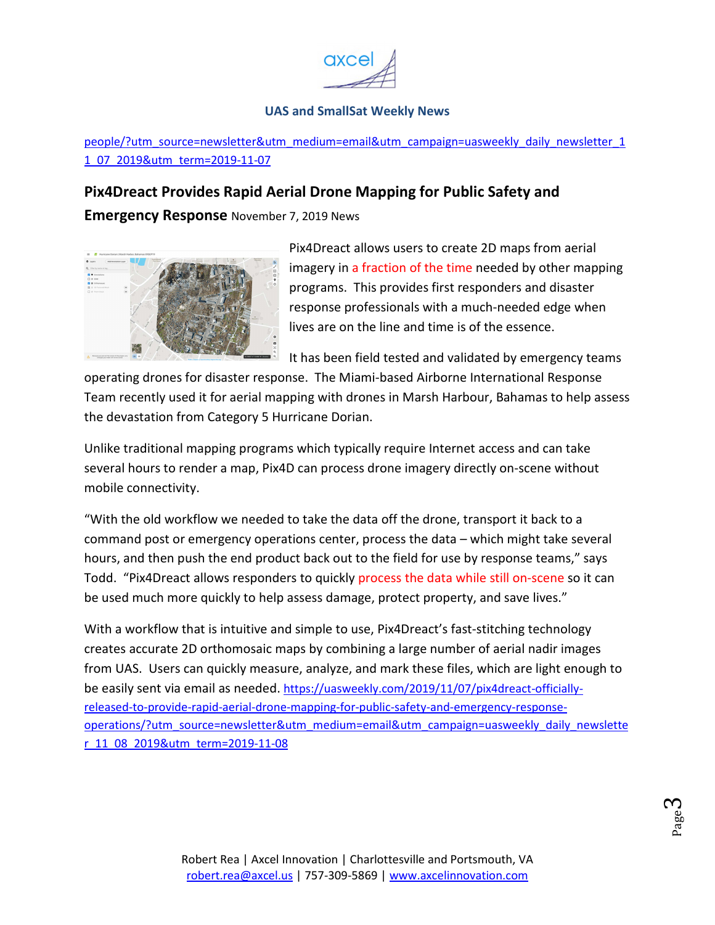

people/?utm\_source=newsletter&utm\_medium=email&utm\_campaign=uasweekly\_daily\_newsletter\_1 1\_07\_2019&utm\_term=2019-11-07

## <span id="page-2-0"></span>**Pix4Dreact Provides Rapid Aerial Drone Mapping for Public Safety and**

**Emergency Response** November 7, 2019 News



Pix4Dreact allows users to create 2D maps from aerial imagery in a fraction of the time needed by other mapping programs. This provides first responders and disaster response professionals with a much-needed edge when lives are on the line and time is of the essence.

It has been field tested and validated by emergency teams

operating drones for disaster response. The Miami-based Airborne International Response Team recently used it for aerial mapping with drones in Marsh Harbour, Bahamas to help assess the devastation from Category 5 Hurricane Dorian.

Unlike traditional mapping programs which typically require Internet access and can take several hours to render a map, Pix4D can process drone imagery directly on-scene without mobile connectivity.

"With the old workflow we needed to take the data off the drone, transport it back to a command post or emergency operations center, process the data – which might take several hours, and then push the end product back out to the field for use by response teams," says Todd. "Pix4Dreact allows responders to quickly process the data while still on-scene so it can be used much more quickly to help assess damage, protect property, and save lives."

With a workflow that is intuitive and simple to use, Pix4Dreact's fast-stitching technology creates accurate 2D orthomosaic maps by combining a large number of aerial nadir images from UAS. Users can quickly measure, analyze, and mark these files, which are light enough to be easily sent via email as needed. https://uasweekly.com/2019/11/07/pix4dreact-officiallyreleased-to-provide-rapid-aerial-drone-mapping-for-public-safety-and-emergency-responseoperations/?utm\_source=newsletter&utm\_medium=email&utm\_campaign=uasweekly\_daily\_newslette r\_11\_08\_2019&utm\_term=2019-11-08

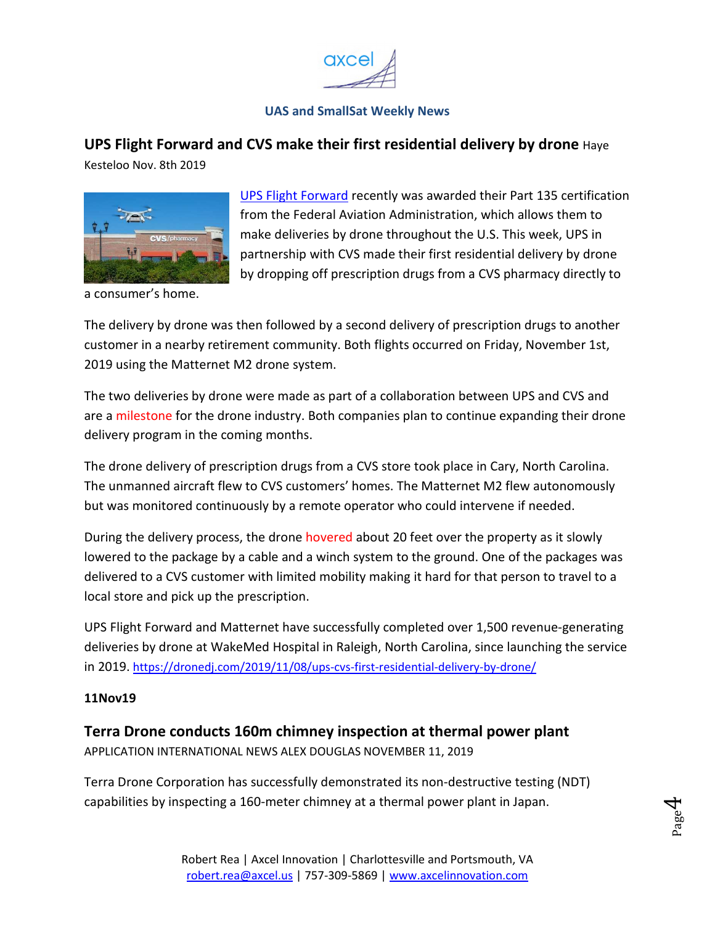

<span id="page-3-0"></span>**UPS Flight Forward and CVS make their first residential delivery by drone** Haye Kesteloo Nov. 8th 2019



UPS Flight Forward recently was awarded their Part 135 certification from the Federal Aviation Administration, which allows them to make deliveries by drone throughout the U.S. This week, UPS in partnership with CVS made their first residential delivery by drone by dropping off prescription drugs from a CVS pharmacy directly to

a consumer's home.

The delivery by drone was then followed by a second delivery of prescription drugs to another customer in a nearby retirement community. Both flights occurred on Friday, November 1st, 2019 using the Matternet M2 drone system.

The two deliveries by drone were made as part of a collaboration between UPS and CVS and are a milestone for the drone industry. Both companies plan to continue expanding their drone delivery program in the coming months.

The drone delivery of prescription drugs from a CVS store took place in Cary, North Carolina. The unmanned aircraft flew to CVS customers' homes. The Matternet M2 flew autonomously but was monitored continuously by a remote operator who could intervene if needed.

During the delivery process, the drone hovered about 20 feet over the property as it slowly lowered to the package by a cable and a winch system to the ground. One of the packages was delivered to a CVS customer with limited mobility making it hard for that person to travel to a local store and pick up the prescription.

UPS Flight Forward and Matternet have successfully completed over 1,500 revenue-generating deliveries by drone at WakeMed Hospital in Raleigh, North Carolina, since launching the service in 2019. https://dronedj.com/2019/11/08/ups-cvs-first-residential-delivery-by-drone/

#### **11Nov19**

#### **Terra Drone conducts 160m chimney inspection at thermal power plant**

APPLICATION INTERNATIONAL NEWS ALEX DOUGLAS NOVEMBER 11, 2019

Terra Drone Corporation has successfully demonstrated its non-destructive testing (NDT) capabilities by inspecting a 160-meter chimney at a thermal power plant in Japan.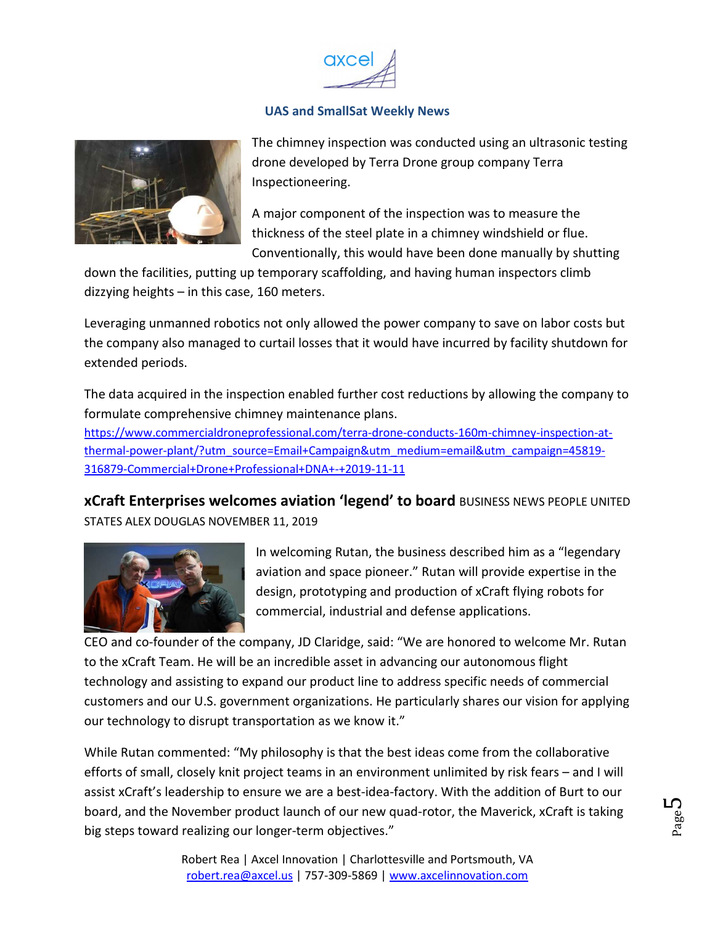

<span id="page-4-0"></span>

The chimney inspection was conducted using an ultrasonic testing drone developed by Terra Drone group company Terra Inspectioneering.

A major component of the inspection was to measure the thickness of the steel plate in a chimney windshield or flue. Conventionally, this would have been done manually by shutting

down the facilities, putting up temporary scaffolding, and having human inspectors climb dizzying heights – in this case, 160 meters.

Leveraging unmanned robotics not only allowed the power company to save on labor costs but the company also managed to curtail losses that it would have incurred by facility shutdown for extended periods.

The data acquired in the inspection enabled further cost reductions by allowing the company to formulate comprehensive chimney maintenance plans.

https://www.commercialdroneprofessional.com/terra-drone-conducts-160m-chimney-inspection-atthermal-power-plant/?utm\_source=Email+Campaign&utm\_medium=email&utm\_campaign=45819- 316879-Commercial+Drone+Professional+DNA+-+2019-11-11

**xCraft Enterprises welcomes aviation 'legend' to board** BUSINESS NEWS PEOPLE UNITED STATES ALEX DOUGLAS NOVEMBER 11, 2019



In welcoming Rutan, the business described him as a "legendary aviation and space pioneer." Rutan will provide expertise in the design, prototyping and production of xCraft flying robots for commercial, industrial and defense applications.

CEO and co-founder of the company, JD Claridge, said: "We are honored to welcome Mr. Rutan to the xCraft Team. He will be an incredible asset in advancing our autonomous flight technology and assisting to expand our product line to address specific needs of commercial customers and our U.S. government organizations. He particularly shares our vision for applying our technology to disrupt transportation as we know it."

While Rutan commented: "My philosophy is that the best ideas come from the collaborative efforts of small, closely knit project teams in an environment unlimited by risk fears – and I will assist xCraft's leadership to ensure we are a best-idea-factory. With the addition of Burt to our board, and the November product launch of our new quad-rotor, the Maverick, xCraft is taking big steps toward realizing our longer-term objectives."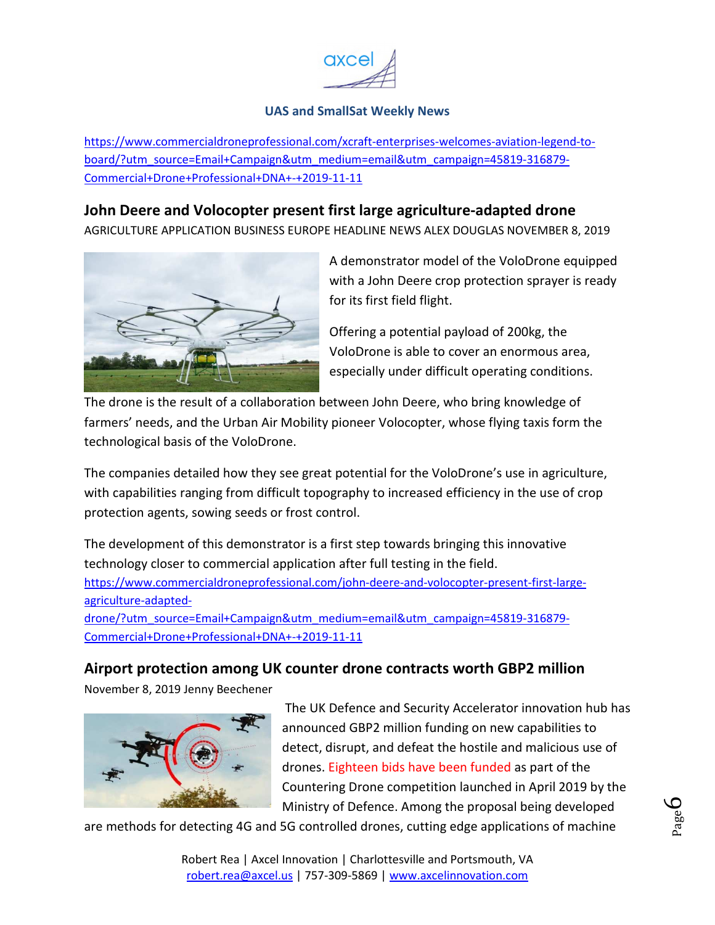

<span id="page-5-0"></span>https://www.commercialdroneprofessional.com/xcraft-enterprises-welcomes-aviation-legend-toboard/?utm\_source=Email+Campaign&utm\_medium=email&utm\_campaign=45819-316879- Commercial+Drone+Professional+DNA+-+2019-11-11

### **John Deere and Volocopter present first large agriculture-adapted drone**

AGRICULTURE APPLICATION BUSINESS EUROPE HEADLINE NEWS ALEX DOUGLAS NOVEMBER 8, 2019



A demonstrator model of the VoloDrone equipped with a John Deere crop protection sprayer is ready for its first field flight.

Offering a potential payload of 200kg, the VoloDrone is able to cover an enormous area, especially under difficult operating conditions.

The drone is the result of a collaboration between John Deere, who bring knowledge of farmers' needs, and the Urban Air Mobility pioneer Volocopter, whose flying taxis form the technological basis of the VoloDrone.

The companies detailed how they see great potential for the VoloDrone's use in agriculture, with capabilities ranging from difficult topography to increased efficiency in the use of crop protection agents, sowing seeds or frost control.

The development of this demonstrator is a first step towards bringing this innovative technology closer to commercial application after full testing in the field. https://www.commercialdroneprofessional.com/john-deere-and-volocopter-present-first-largeagriculture-adapted-

drone/?utm\_source=Email+Campaign&utm\_medium=email&utm\_campaign=45819-316879- Commercial+Drone+Professional+DNA+-+2019-11-11

## **Airport protection among UK counter drone contracts worth GBP2 million**

November 8, 2019 Jenny Beechener



The UK Defence and Security Accelerator innovation hub has announced GBP2 million funding on new capabilities to detect, disrupt, and defeat the hostile and malicious use of drones. Eighteen bids have been funded as part of the Countering Drone competition launched in April 2019 by the Ministry of Defence. Among the proposal being developed

are methods for detecting 4G and 5G controlled drones, cutting edge applications of machine

Page 6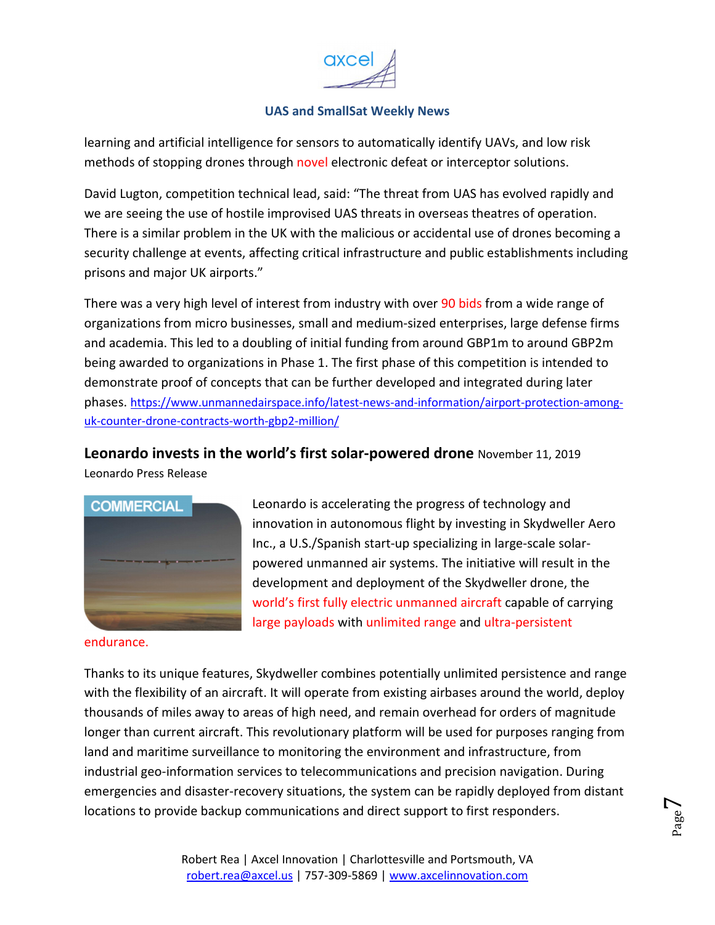

<span id="page-6-0"></span>learning and artificial intelligence for sensors to automatically identify UAVs, and low risk methods of stopping drones through novel electronic defeat or interceptor solutions.

David Lugton, competition technical lead, said: "The threat from UAS has evolved rapidly and we are seeing the use of hostile improvised UAS threats in overseas theatres of operation. There is a similar problem in the UK with the malicious or accidental use of drones becoming a security challenge at events, affecting critical infrastructure and public establishments including prisons and major UK airports."

There was a very high level of interest from industry with over 90 bids from a wide range of organizations from micro businesses, small and medium-sized enterprises, large defense firms and academia. This led to a doubling of initial funding from around GBP1m to around GBP2m being awarded to organizations in Phase 1. The first phase of this competition is intended to demonstrate proof of concepts that can be further developed and integrated during later phases. https://www.unmannedairspace.info/latest-news-and-information/airport-protection-amonguk-counter-drone-contracts-worth-gbp2-million/

**Leonardo invests in the world's first solar-powered drone** November 11, 2019

Leonardo Press Release



endurance.

Leonardo is accelerating the progress of technology and innovation in autonomous flight by investing in Skydweller Aero Inc., a U.S./Spanish start-up specializing in large-scale solarpowered unmanned air systems. The initiative will result in the development and deployment of the Skydweller drone, the world's first fully electric unmanned aircraft capable of carrying large payloads with unlimited range and ultra-persistent

> Page  $\overline{\phantom{0}}$

Thanks to its unique features, Skydweller combines potentially unlimited persistence and range with the flexibility of an aircraft. It will operate from existing airbases around the world, deploy thousands of miles away to areas of high need, and remain overhead for orders of magnitude longer than current aircraft. This revolutionary platform will be used for purposes ranging from land and maritime surveillance to monitoring the environment and infrastructure, from industrial geo-information services to telecommunications and precision navigation. During emergencies and disaster-recovery situations, the system can be rapidly deployed from distant locations to provide backup communications and direct support to first responders.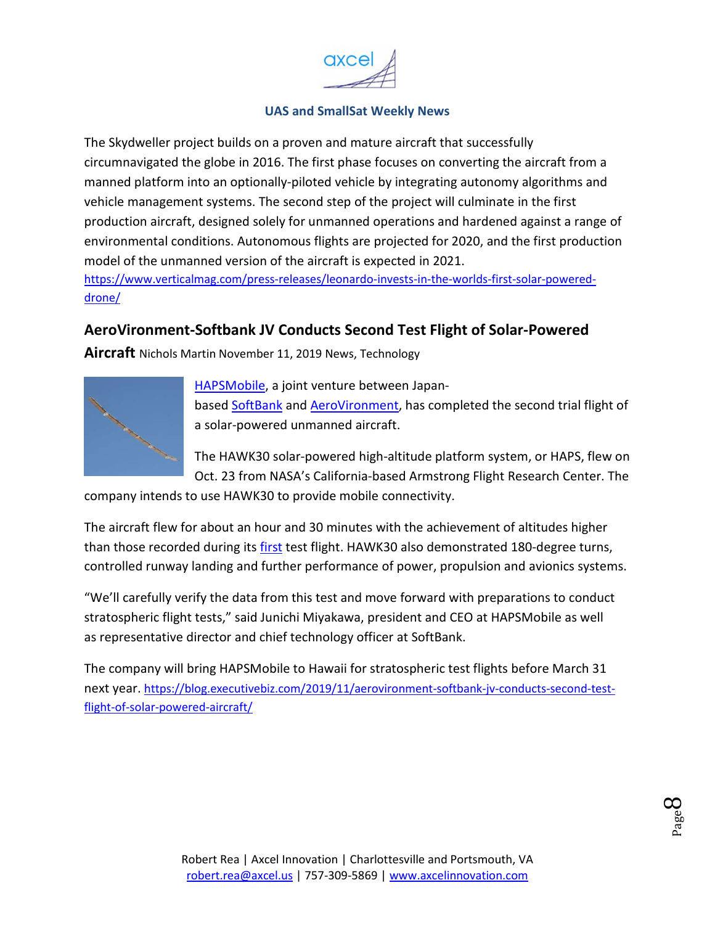

<span id="page-7-0"></span>The Skydweller project builds on a proven and mature aircraft that successfully circumnavigated the globe in 2016. The first phase focuses on converting the aircraft from a manned platform into an optionally-piloted vehicle by integrating autonomy algorithms and vehicle management systems. The second step of the project will culminate in the first production aircraft, designed solely for unmanned operations and hardened against a range of environmental conditions. Autonomous flights are projected for 2020, and the first production model of the unmanned version of the aircraft is expected in 2021.

https://www.verticalmag.com/press-releases/leonardo-invests-in-the-worlds-first-solar-powereddrone/

## **AeroVironment-Softbank JV Conducts Second Test Flight of Solar-Powered**

**Aircraft** Nichols Martin November 11, 2019 News, Technology



HAPSMobile, a joint venture between Japanbased SoftBank and AeroVironment, has completed the second trial flight of a solar-powered unmanned aircraft.

The HAWK30 solar-powered high-altitude platform system, or HAPS, flew on Oct. 23 from NASA's California-based Armstrong Flight Research Center. The

company intends to use HAWK30 to provide mobile connectivity.

The aircraft flew for about an hour and 30 minutes with the achievement of altitudes higher than those recorded during its first test flight. HAWK30 also demonstrated 180-degree turns, controlled runway landing and further performance of power, propulsion and avionics systems.

"We'll carefully verify the data from this test and move forward with preparations to conduct stratospheric flight tests," said Junichi Miyakawa, president and CEO at HAPSMobile as well as representative director and chief technology officer at SoftBank.

The company will bring HAPSMobile to Hawaii for stratospheric test flights before March 31 next year. https://blog.executivebiz.com/2019/11/aerovironment-softbank-jv-conducts-second-testflight-of-solar-powered-aircraft/

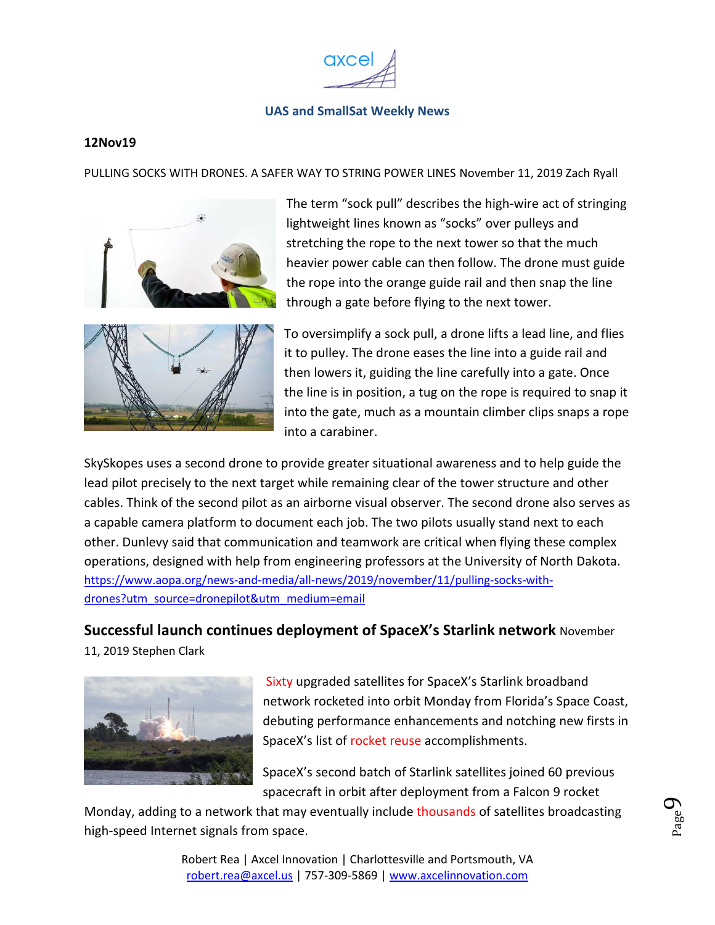

#### <span id="page-8-0"></span>**12Nov19**

PULLING SOCKS WITH DRONES. A SAFER WAY TO STRING POWER LINES November 11, 2019 Zach Ryall



The term "sock pull" describes the high-wire act of stringing lightweight lines known as "socks" over pulleys and stretching the rope to the next tower so that the much heavier power cable can then follow. The drone must guide the rope into the orange guide rail and then snap the line through a gate before flying to the next tower.



To oversimplify a sock pull, a drone lifts a lead line, and flies it to pulley. The drone eases the line into a guide rail and then lowers it, guiding the line carefully into a gate. Once the line is in position, a tug on the rope is required to snap it into the gate, much as a mountain climber clips snaps a rope into a carabiner.

SkySkopes uses a second drone to provide greater situational awareness and to help guide the lead pilot precisely to the next target while remaining clear of the tower structure and other cables. Think of the second pilot as an airborne visual observer. The second drone also serves as a capable camera platform to document each job. The two pilots usually stand next to each other. Dunlevy said that communication and teamwork are critical when flying these complex operations, designed with help from engineering professors at the University of North Dakota. https://www.aopa.org/news-and-media/all-news/2019/november/11/pulling-socks-withdrones?utm\_source=dronepilot&utm\_medium=email

#### **Successful launch continues deployment of SpaceX's Starlink network** November

11, 2019 Stephen Clark



Sixty upgraded satellites for SpaceX's Starlink broadband network rocketed into orbit Monday from Florida's Space Coast, debuting performance enhancements and notching new firsts in SpaceX's list of rocket reuse accomplishments.

SpaceX's second batch of Starlink satellites joined 60 previous spacecraft in orbit after deployment from a Falcon 9 rocket

Monday, adding to a network that may eventually include thousands of satellites broadcasting high-speed Internet signals from space.

Page  $\sigma$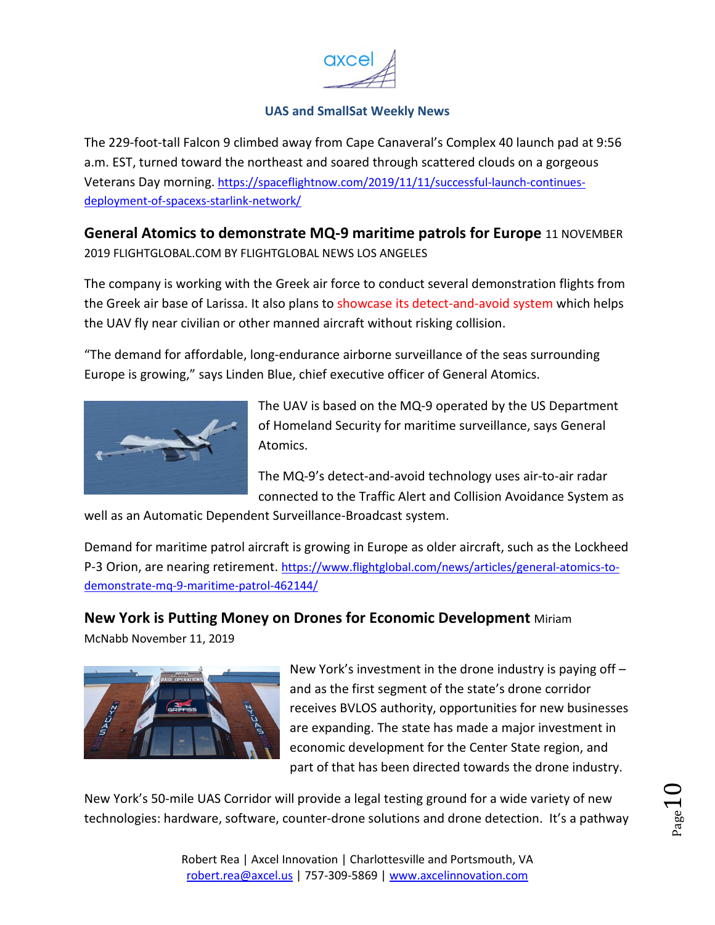

<span id="page-9-0"></span>The 229-foot-tall Falcon 9 climbed away from Cape Canaveral's Complex 40 launch pad at 9:56 a.m. EST, turned toward the northeast and soared through scattered clouds on a gorgeous Veterans Day morning. https://spaceflightnow.com/2019/11/11/successful-launch-continuesdeployment-of-spacexs-starlink-network/

**General Atomics to demonstrate MQ-9 maritime patrols for Europe** 11 NOVEMBER 2019 FLIGHTGLOBAL.COM BY FLIGHTGLOBAL NEWS LOS ANGELES

The company is working with the Greek air force to conduct several demonstration flights from the Greek air base of Larissa. It also plans to showcase its detect-and-avoid system which helps the UAV fly near civilian or other manned aircraft without risking collision.

"The demand for affordable, long-endurance airborne surveillance of the seas surrounding Europe is growing," says Linden Blue, chief executive officer of General Atomics.



The UAV is based on the MQ-9 operated by the US Department of Homeland Security for maritime surveillance, says General Atomics.

The MQ-9's detect-and-avoid technology uses air-to-air radar connected to the Traffic Alert and Collision Avoidance System as

well as an Automatic Dependent Surveillance-Broadcast system.

Demand for maritime patrol aircraft is growing in Europe as older aircraft, such as the Lockheed P-3 Orion, are nearing retirement. https://www.flightglobal.com/news/articles/general-atomics-todemonstrate-mq-9-maritime-patrol-462144/

#### **New York is Putting Money on Drones for Economic Development** Miriam

McNabb November 11, 2019



New York's investment in the drone industry is paying off – and as the first segment of the state's drone corridor receives BVLOS authority, opportunities for new businesses are expanding. The state has made a major investment in economic development for the Center State region, and part of that has been directed towards the drone industry.

New York's 50-mile UAS Corridor will provide a legal testing ground for a wide variety of new technologies: hardware, software, counter-drone solutions and drone detection. It's a pathway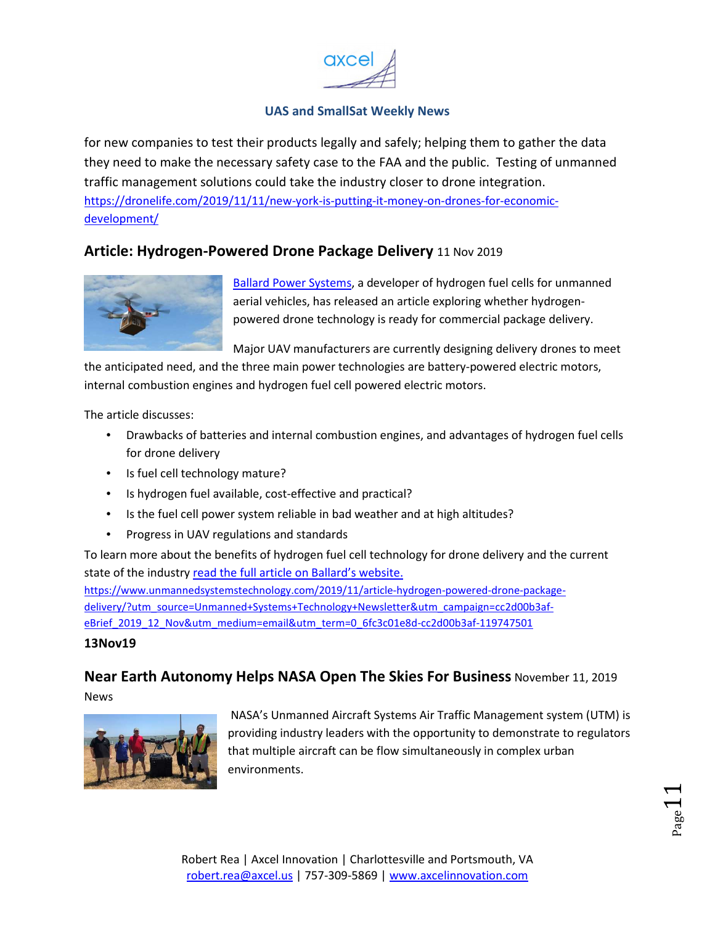

<span id="page-10-0"></span>for new companies to test their products legally and safely; helping them to gather the data they need to make the necessary safety case to the FAA and the public. Testing of unmanned traffic management solutions could take the industry closer to drone integration. https://dronelife.com/2019/11/11/new-york-is-putting-it-money-on-drones-for-economicdevelopment/

### **Article: Hydrogen-Powered Drone Package Delivery** 11 Nov 2019



Ballard Power Systems, a developer of hydrogen fuel cells for unmanned aerial vehicles, has released an article exploring whether hydrogenpowered drone technology is ready for commercial package delivery.

Major UAV manufacturers are currently designing delivery drones to meet

the anticipated need, and the three main power technologies are battery-powered electric motors, internal combustion engines and hydrogen fuel cell powered electric motors.

The article discusses:

- Drawbacks of batteries and internal combustion engines, and advantages of hydrogen fuel cells for drone delivery
- Is fuel cell technology mature?
- Is hydrogen fuel available, cost-effective and practical?
- Is the fuel cell power system reliable in bad weather and at high altitudes?
- Progress in UAV regulations and standards

To learn more about the benefits of hydrogen fuel cell technology for drone delivery and the current state of the industry read the full article on Ballard's website.

https://www.unmannedsystemstechnology.com/2019/11/article-hydrogen-powered-drone-packagedelivery/?utm\_source=Unmanned+Systems+Technology+Newsletter&utm\_campaign=cc2d00b3afeBrief\_2019\_12\_Nov&utm\_medium=email&utm\_term=0\_6fc3c01e8d-cc2d00b3af-119747501

#### **13Nov19**

## **Near Earth Autonomy Helps NASA Open The Skies For Business** November 11, 2019

News



 NASA's Unmanned Aircraft Systems Air Traffic Management system (UTM) is providing industry leaders with the opportunity to demonstrate to regulators that multiple aircraft can be flow simultaneously in complex urban environments.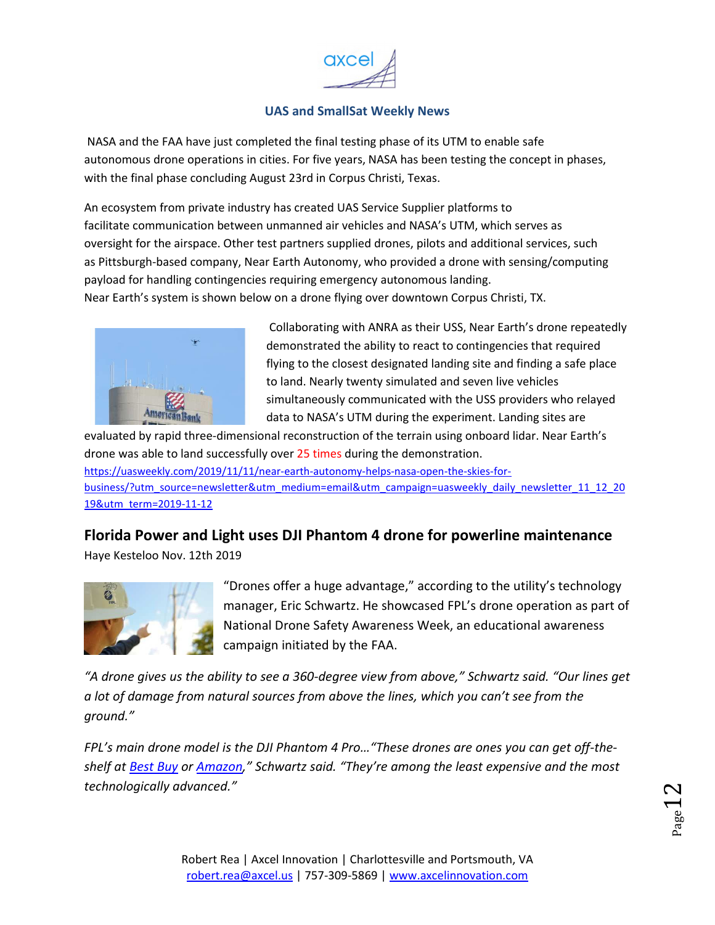

<span id="page-11-0"></span> NASA and the FAA have just completed the final testing phase of its UTM to enable safe autonomous drone operations in cities. For five years, NASA has been testing the concept in phases, with the final phase concluding August 23rd in Corpus Christi, Texas.

An ecosystem from private industry has created UAS Service Supplier platforms to facilitate communication between unmanned air vehicles and NASA's UTM, which serves as oversight for the airspace. Other test partners supplied drones, pilots and additional services, such as Pittsburgh-based company, Near Earth Autonomy, who provided a drone with sensing/computing payload for handling contingencies requiring emergency autonomous landing. Near Earth's system is shown below on a drone flying over downtown Corpus Christi, TX.



 Collaborating with ANRA as their USS, Near Earth's drone repeatedly demonstrated the ability to react to contingencies that required flying to the closest designated landing site and finding a safe place to land. Nearly twenty simulated and seven live vehicles simultaneously communicated with the USS providers who relayed data to NASA's UTM during the experiment. Landing sites are

evaluated by rapid three-dimensional reconstruction of the terrain using onboard lidar. Near Earth's drone was able to land successfully over 25 times during the demonstration. https://uasweekly.com/2019/11/11/near-earth-autonomy-helps-nasa-open-the-skies-forbusiness/?utm\_source=newsletter&utm\_medium=email&utm\_campaign=uasweekly\_daily\_newsletter\_11\_12\_20 19&utm\_term=2019-11-12

**Florida Power and Light uses DJI Phantom 4 drone for powerline maintenance** Haye Kesteloo Nov. 12th 2019



"Drones offer a huge advantage," according to the utility's technology manager, Eric Schwartz. He showcased FPL's drone operation as part of National Drone Safety Awareness Week, an educational awareness campaign initiated by the FAA.

*"A drone gives us the ability to see a 360-degree view from above," Schwartz said. "Our lines get a lot of damage from natural sources from above the lines, which you can't see from the ground."* 

*FPL's main drone model is the DJI Phantom 4 Pro…"These drones are ones you can get off-theshelf at Best Buy or Amazon," Schwartz said. "They're among the least expensive and the most technologically advanced."*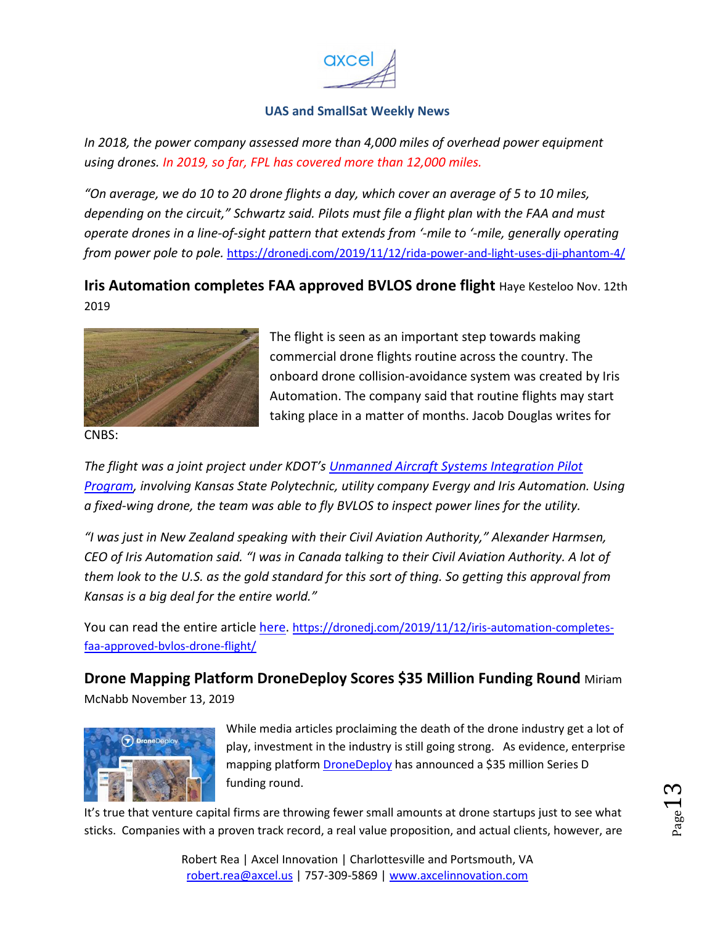

<span id="page-12-0"></span>*In 2018, the power company assessed more than 4,000 miles of overhead power equipment using drones. In 2019, so far, FPL has covered more than 12,000 miles.*

*"On average, we do 10 to 20 drone flights a day, which cover an average of 5 to 10 miles, depending on the circuit," Schwartz said. Pilots must file a flight plan with the FAA and must operate drones in a line-of-sight pattern that extends from '-mile to '-mile, generally operating from power pole to pole.* https://dronedj.com/2019/11/12/rida-power-and-light-uses-dji-phantom-4/

## **Iris Automation completes FAA approved BVLOS drone flight** Haye Kesteloo Nov. 12th 2019



The flight is seen as an important step towards making commercial drone flights routine across the country. The onboard drone collision-avoidance system was created by Iris Automation. The company said that routine flights may start taking place in a matter of months. Jacob Douglas writes for

CNBS:

*The flight was a joint project under KDOT's Unmanned Aircraft Systems Integration Pilot Program, involving Kansas State Polytechnic, utility company Evergy and Iris Automation. Using a fixed-wing drone, the team was able to fly BVLOS to inspect power lines for the utility.* 

*"I was just in New Zealand speaking with their Civil Aviation Authority," Alexander Harmsen, CEO of Iris Automation said. "I was in Canada talking to their Civil Aviation Authority. A lot of them look to the U.S. as the gold standard for this sort of thing. So getting this approval from Kansas is a big deal for the entire world."* 

You can read the entire article here. https://dronedj.com/2019/11/12/iris-automation-completesfaa-approved-bvlos-drone-flight/

**Drone Mapping Platform DroneDeploy Scores \$35 Million Funding Round** Miriam McNabb November 13, 2019



While media articles proclaiming the death of the drone industry get a lot of play, investment in the industry is still going strong. As evidence, enterprise mapping platform **DroneDeploy** has announced a \$35 million Series D funding round.

It's true that venture capital firms are throwing fewer small amounts at drone startups just to see what sticks. Companies with a proven track record, a real value proposition, and actual clients, however, are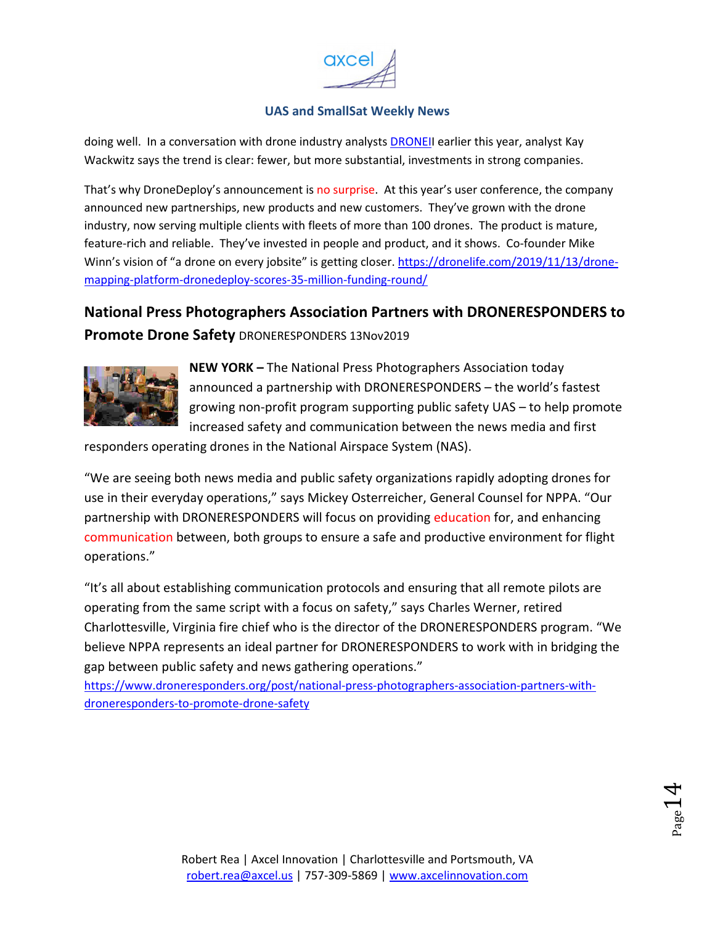

<span id="page-13-0"></span>doing well. In a conversation with drone industry analysts DRONEII earlier this year, analyst Kay Wackwitz says the trend is clear: fewer, but more substantial, investments in strong companies.

That's why DroneDeploy's announcement is no surprise. At this year's user conference, the company announced new partnerships, new products and new customers. They've grown with the drone industry, now serving multiple clients with fleets of more than 100 drones. The product is mature, feature-rich and reliable. They've invested in people and product, and it shows. Co-founder Mike Winn's vision of "a drone on every jobsite" is getting closer. https://dronelife.com/2019/11/13/dronemapping-platform-dronedeploy-scores-35-million-funding-round/

# **National Press Photographers Association Partners with DRONERESPONDERS to**

**Promote Drone Safety** DRONERESPONDERS 13Nov2019



**NEW YORK –** The National Press Photographers Association today announced a partnership with DRONERESPONDERS – the world's fastest growing non-profit program supporting public safety UAS – to help promote increased safety and communication between the news media and first

responders operating drones in the National Airspace System (NAS).

"We are seeing both news media and public safety organizations rapidly adopting drones for use in their everyday operations," says Mickey Osterreicher, General Counsel for NPPA. "Our partnership with DRONERESPONDERS will focus on providing education for, and enhancing communication between, both groups to ensure a safe and productive environment for flight operations."

"It's all about establishing communication protocols and ensuring that all remote pilots are operating from the same script with a focus on safety," says Charles Werner, retired Charlottesville, Virginia fire chief who is the director of the DRONERESPONDERS program. "We believe NPPA represents an ideal partner for DRONERESPONDERS to work with in bridging the gap between public safety and news gathering operations."

https://www.droneresponders.org/post/national-press-photographers-association-partners-withdroneresponders-to-promote-drone-safety

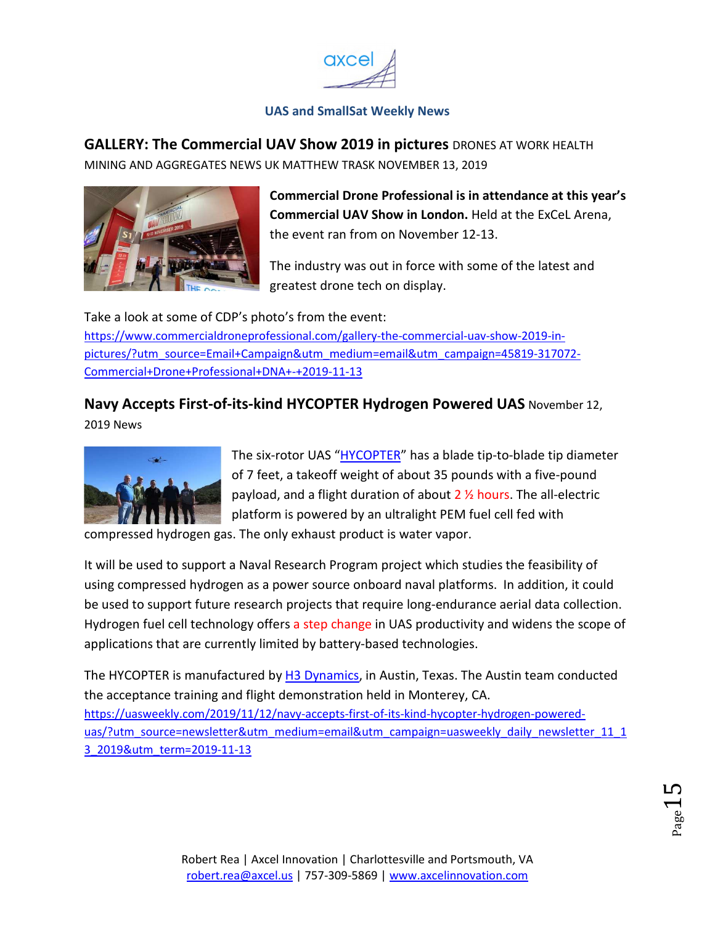

<span id="page-14-0"></span>**GALLERY: The Commercial UAV Show 2019 in pictures** DRONES AT WORK HEALTH

MINING AND AGGREGATES NEWS UK MATTHEW TRASK NOVEMBER 13, 2019



**Commercial Drone Professional is in attendance at this year's Commercial UAV Show in London.** Held at the ExCeL Arena, the event ran from on November 12-13.

The industry was out in force with some of the latest and greatest drone tech on display.

Take a look at some of CDP's photo's from the event: https://www.commercialdroneprofessional.com/gallery-the-commercial-uav-show-2019-inpictures/?utm\_source=Email+Campaign&utm\_medium=email&utm\_campaign=45819-317072- Commercial+Drone+Professional+DNA+-+2019-11-13

# **Navy Accepts First-of-its-kind HYCOPTER Hydrogen Powered UAS** November 12,

2019 News



The six-rotor UAS "HYCOPTER" has a blade tip-to-blade tip diameter of 7 feet, a takeoff weight of about 35 pounds with a five-pound payload, and a flight duration of about 2 ½ hours. The all-electric platform is powered by an ultralight PEM fuel cell fed with

compressed hydrogen gas. The only exhaust product is water vapor.

It will be used to support a Naval Research Program project which studies the feasibility of using compressed hydrogen as a power source onboard naval platforms. In addition, it could be used to support future research projects that require long-endurance aerial data collection. Hydrogen fuel cell technology offers a step change in UAS productivity and widens the scope of applications that are currently limited by battery-based technologies.

The HYCOPTER is manufactured by H3 Dynamics, in Austin, Texas. The Austin team conducted the acceptance training and flight demonstration held in Monterey, CA. https://uasweekly.com/2019/11/12/navy-accepts-first-of-its-kind-hycopter-hydrogen-powereduas/?utm\_source=newsletter&utm\_medium=email&utm\_campaign=uasweekly\_daily\_newsletter\_11\_1 3\_2019&utm\_term=2019-11-13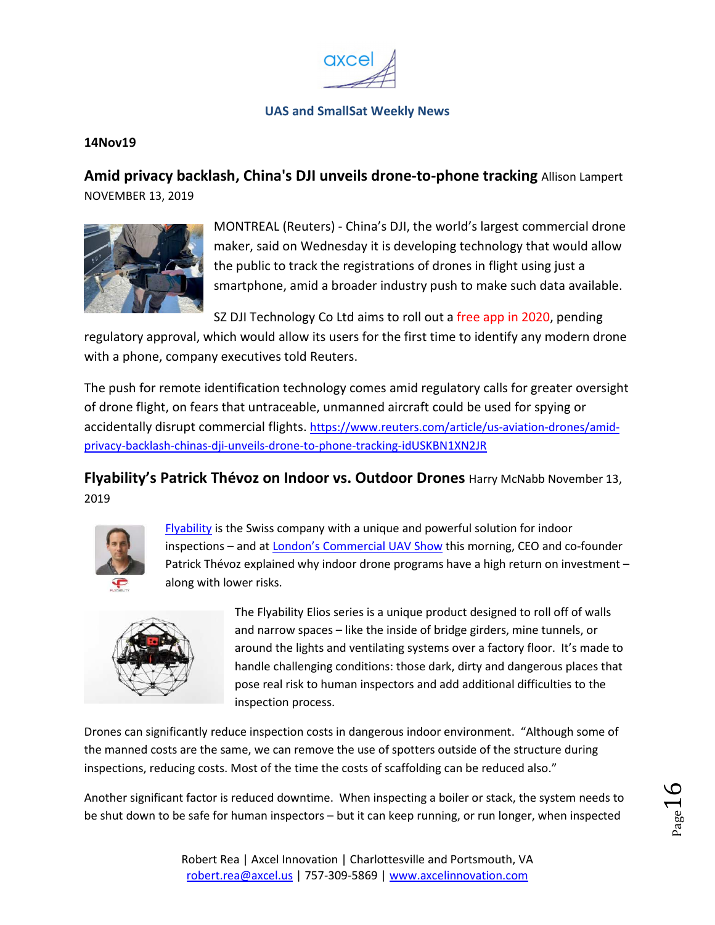

#### <span id="page-15-0"></span>**14Nov19**

**Amid privacy backlash, China's DJI unveils drone-to-phone tracking** Allison Lampert NOVEMBER 13, 2019



MONTREAL (Reuters) - China's DJI, the world's largest commercial drone maker, said on Wednesday it is developing technology that would allow the public to track the registrations of drones in flight using just a smartphone, amid a broader industry push to make such data available.

SZ DJI Technology Co Ltd aims to roll out a free app in 2020, pending

regulatory approval, which would allow its users for the first time to identify any modern drone with a phone, company executives told Reuters.

The push for remote identification technology comes amid regulatory calls for greater oversight of drone flight, on fears that untraceable, unmanned aircraft could be used for spying or accidentally disrupt commercial flights. https://www.reuters.com/article/us-aviation-drones/amidprivacy-backlash-chinas-dji-unveils-drone-to-phone-tracking-idUSKBN1XN2JR

**Flyability's Patrick Thévoz on Indoor vs. Outdoor Drones** Harry McNabb November 13, 2019



Flyability is the Swiss company with a unique and powerful solution for indoor inspections – and at London's Commercial UAV Show this morning, CEO and co-founder Patrick Thévoz explained why indoor drone programs have a high return on investment – along with lower risks.



The Flyability Elios series is a unique product designed to roll off of walls and narrow spaces – like the inside of bridge girders, mine tunnels, or around the lights and ventilating systems over a factory floor. It's made to handle challenging conditions: those dark, dirty and dangerous places that pose real risk to human inspectors and add additional difficulties to the inspection process.

Drones can significantly reduce inspection costs in dangerous indoor environment. "Although some of the manned costs are the same, we can remove the use of spotters outside of the structure during inspections, reducing costs. Most of the time the costs of scaffolding can be reduced also."

Another significant factor is reduced downtime. When inspecting a boiler or stack, the system needs to be shut down to be safe for human inspectors – but it can keep running, or run longer, when inspected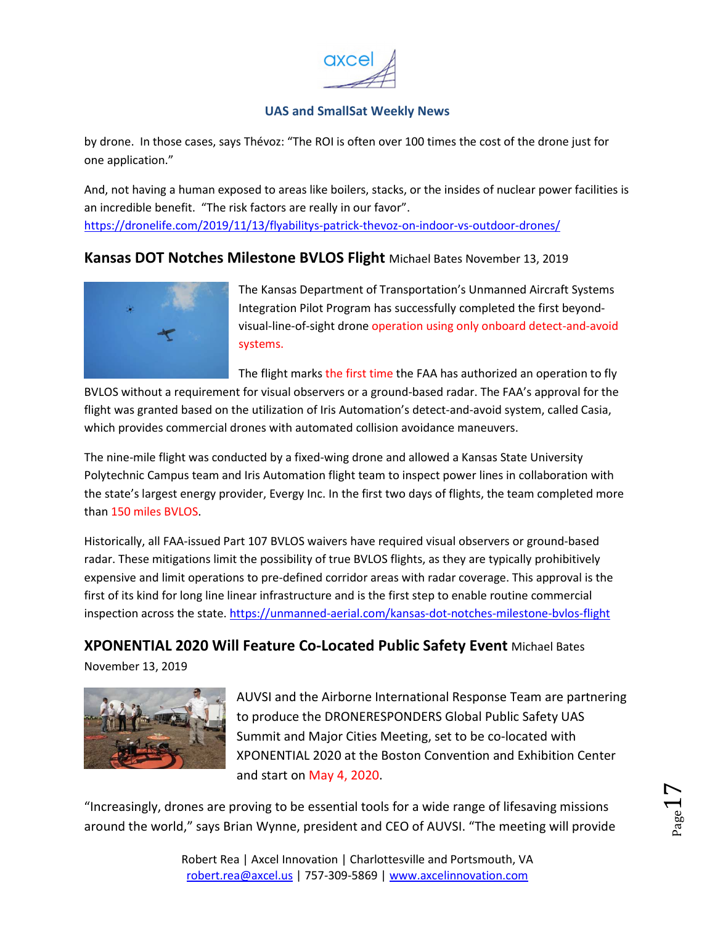

<span id="page-16-0"></span>by drone. In those cases, says Thévoz: "The ROI is often over 100 times the cost of the drone just for one application."

And, not having a human exposed to areas like boilers, stacks, or the insides of nuclear power facilities is an incredible benefit. "The risk factors are really in our favor". https://dronelife.com/2019/11/13/flyabilitys-patrick-thevoz-on-indoor-vs-outdoor-drones/

### **Kansas DOT Notches Milestone BVLOS Flight** Michael Bates November 13, 2019



The Kansas Department of Transportation's Unmanned Aircraft Systems Integration Pilot Program has successfully completed the first beyondvisual-line-of-sight drone operation using only onboard detect-and-avoid systems.

The flight marks the first time the FAA has authorized an operation to fly BVLOS without a requirement for visual observers or a ground-based radar. The FAA's approval for the flight was granted based on the utilization of Iris Automation's detect-and-avoid system, called Casia, which provides commercial drones with automated collision avoidance maneuvers.

The nine-mile flight was conducted by a fixed-wing drone and allowed a Kansas State University Polytechnic Campus team and Iris Automation flight team to inspect power lines in collaboration with the state's largest energy provider, Evergy Inc. In the first two days of flights, the team completed more than 150 miles BVLOS.

Historically, all FAA-issued Part 107 BVLOS waivers have required visual observers or ground-based radar. These mitigations limit the possibility of true BVLOS flights, as they are typically prohibitively expensive and limit operations to pre-defined corridor areas with radar coverage. This approval is the first of its kind for long line linear infrastructure and is the first step to enable routine commercial inspection across the state. https://unmanned-aerial.com/kansas-dot-notches-milestone-bvlos-flight

**XPONENTIAL 2020 Will Feature Co-Located Public Safety Event** Michael Bates

November 13, 2019



AUVSI and the Airborne International Response Team are partnering to produce the DRONERESPONDERS Global Public Safety UAS Summit and Major Cities Meeting, set to be co-located with XPONENTIAL 2020 at the Boston Convention and Exhibition Center and start on May 4, 2020.

"Increasingly, drones are proving to be essential tools for a wide range of lifesaving missions around the world," says Brian Wynne, president and CEO of AUVSI. "The meeting will provide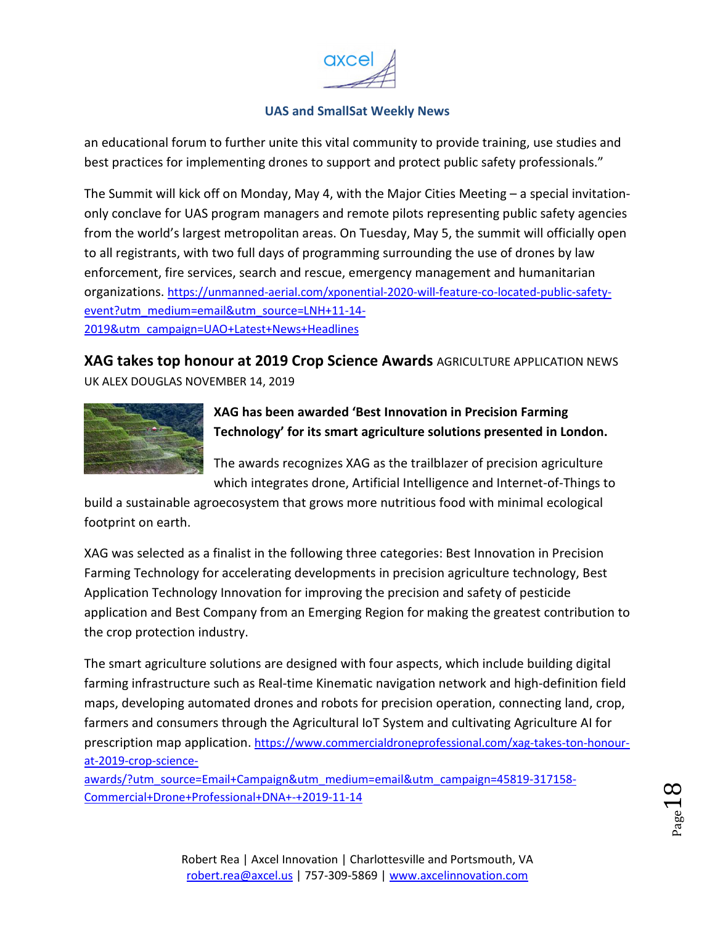

<span id="page-17-0"></span>an educational forum to further unite this vital community to provide training, use studies and best practices for implementing drones to support and protect public safety professionals."

The Summit will kick off on Monday, May 4, with the Major Cities Meeting – a special invitationonly conclave for UAS program managers and remote pilots representing public safety agencies from the world's largest metropolitan areas. On Tuesday, May 5, the summit will officially open to all registrants, with two full days of programming surrounding the use of drones by law enforcement, fire services, search and rescue, emergency management and humanitarian organizations. https://unmanned-aerial.com/xponential-2020-will-feature-co-located-public-safetyevent?utm\_medium=email&utm\_source=LNH+11-14- 2019&utm\_campaign=UAO+Latest+News+Headlines

**XAG takes top honour at 2019 Crop Science Awards** AGRICULTURE APPLICATION NEWS UK ALEX DOUGLAS NOVEMBER 14, 2019



**XAG has been awarded 'Best Innovation in Precision Farming Technology' for its smart agriculture solutions presented in London.** 

The awards recognizes XAG as the trailblazer of precision agriculture which integrates drone, Artificial Intelligence and Internet-of-Things to

build a sustainable agroecosystem that grows more nutritious food with minimal ecological footprint on earth.

XAG was selected as a finalist in the following three categories: Best Innovation in Precision Farming Technology for accelerating developments in precision agriculture technology, Best Application Technology Innovation for improving the precision and safety of pesticide application and Best Company from an Emerging Region for making the greatest contribution to the crop protection industry.

The smart agriculture solutions are designed with four aspects, which include building digital farming infrastructure such as Real-time Kinematic navigation network and high-definition field maps, developing automated drones and robots for precision operation, connecting land, crop, farmers and consumers through the Agricultural IoT System and cultivating Agriculture AI for prescription map application. https://www.commercialdroneprofessional.com/xag-takes-ton-honourat-2019-crop-science-

awards/?utm\_source=Email+Campaign&utm\_medium=email&utm\_campaign=45819-317158- Commercial+Drone+Professional+DNA+-+2019-11-14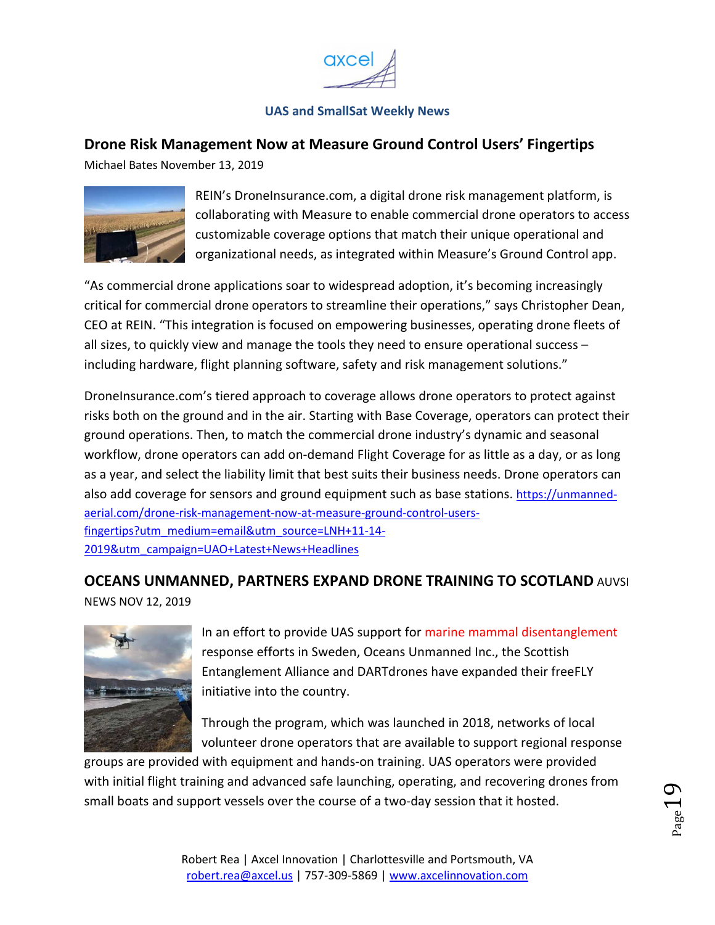![](_page_18_Picture_0.jpeg)

# <span id="page-18-0"></span>**Drone Risk Management Now at Measure Ground Control Users' Fingertips**

Michael Bates November 13, 2019

![](_page_18_Picture_4.jpeg)

REIN's DroneInsurance.com, a digital drone risk management platform, is collaborating with Measure to enable commercial drone operators to access customizable coverage options that match their unique operational and organizational needs, as integrated within Measure's Ground Control app.

"As commercial drone applications soar to widespread adoption, it's becoming increasingly critical for commercial drone operators to streamline their operations," says Christopher Dean, CEO at REIN. "This integration is focused on empowering businesses, operating drone fleets of all sizes, to quickly view and manage the tools they need to ensure operational success – including hardware, flight planning software, safety and risk management solutions."

DroneInsurance.com's tiered approach to coverage allows drone operators to protect against risks both on the ground and in the air. Starting with Base Coverage, operators can protect their ground operations. Then, to match the commercial drone industry's dynamic and seasonal workflow, drone operators can add on-demand Flight Coverage for as little as a day, or as long as a year, and select the liability limit that best suits their business needs. Drone operators can also add coverage for sensors and ground equipment such as base stations. https://unmannedaerial.com/drone-risk-management-now-at-measure-ground-control-usersfingertips?utm\_medium=email&utm\_source=LNH+11-14- 2019&utm\_campaign=UAO+Latest+News+Headlines

# **OCEANS UNMANNED, PARTNERS EXPAND DRONE TRAINING TO SCOTLAND** AUVSI

NEWS NOV 12, 2019

![](_page_18_Picture_10.jpeg)

In an effort to provide UAS support for marine mammal disentanglement response efforts in Sweden, Oceans Unmanned Inc., the Scottish Entanglement Alliance and DARTdrones have expanded their freeFLY initiative into the country.

Through the program, which was launched in 2018, networks of local volunteer drone operators that are available to support regional response

groups are provided with equipment and hands-on training. UAS operators were provided with initial flight training and advanced safe launching, operating, and recovering drones from small boats and support vessels over the course of a two-day session that it hosted.